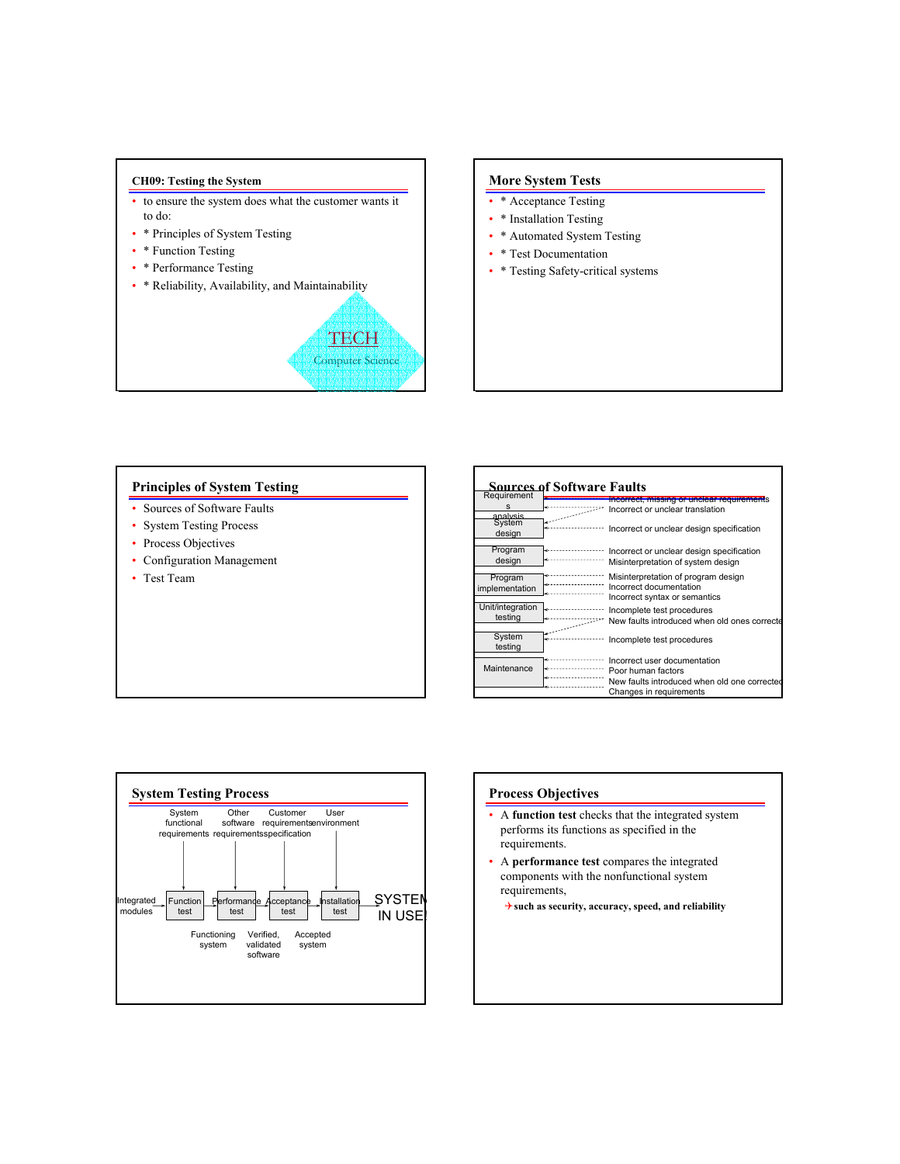#### **CH09: Testing the System**

- to ensure the system does what the customer wants it to do:
- \* Principles of System Testing
- \* Function Testing
- \* Performance Testing
- \* Reliability, Availability, and Maintainability



## **More System Tests**

- \* Acceptance Testing
- \* Installation Testing
- \* Automated System Testing
- \* Test Documentation
- \* Testing Safety-critical systems

### **Principles of System Testing**

- Sources of Software Faults
- System Testing Process
- Process Objectives
- Configuration Management
- Test Team

| Requirement                 | <b>Sources of Software Faults</b> |                                                                                                    |
|-----------------------------|-----------------------------------|----------------------------------------------------------------------------------------------------|
| analysis                    |                                   | Incorrect, missing or unclear requirements<br>Incorrect or unclear translation                     |
| System<br>design            |                                   | Incorrect or unclear design specification                                                          |
| Program<br>design           |                                   | Incorrect or unclear design specification<br>Misinterpretation of system design                    |
| Program<br>implementation   |                                   | Misinterpretation of program design<br>Incorrect documentation<br>Incorrect syntax or semantics    |
| Unit/integration<br>testing |                                   | Incomplete test procedures<br>New faults introduced when old ones correcte                         |
| System<br>testing           |                                   | Incomplete test procedures                                                                         |
| Maintenance                 |                                   | Incorrect user documentation<br>Poor human factors<br>New faults introduced when old one corrected |
|                             |                                   | Changes in requirements                                                                            |



# **Process Objectives**

- A **function test** checks that the integrated system performs its functions as specified in the requirements.
- A **performance test** compares the integrated components with the nonfunctional system requirements,
	- 4**such as security, accuracy, speed, and reliability**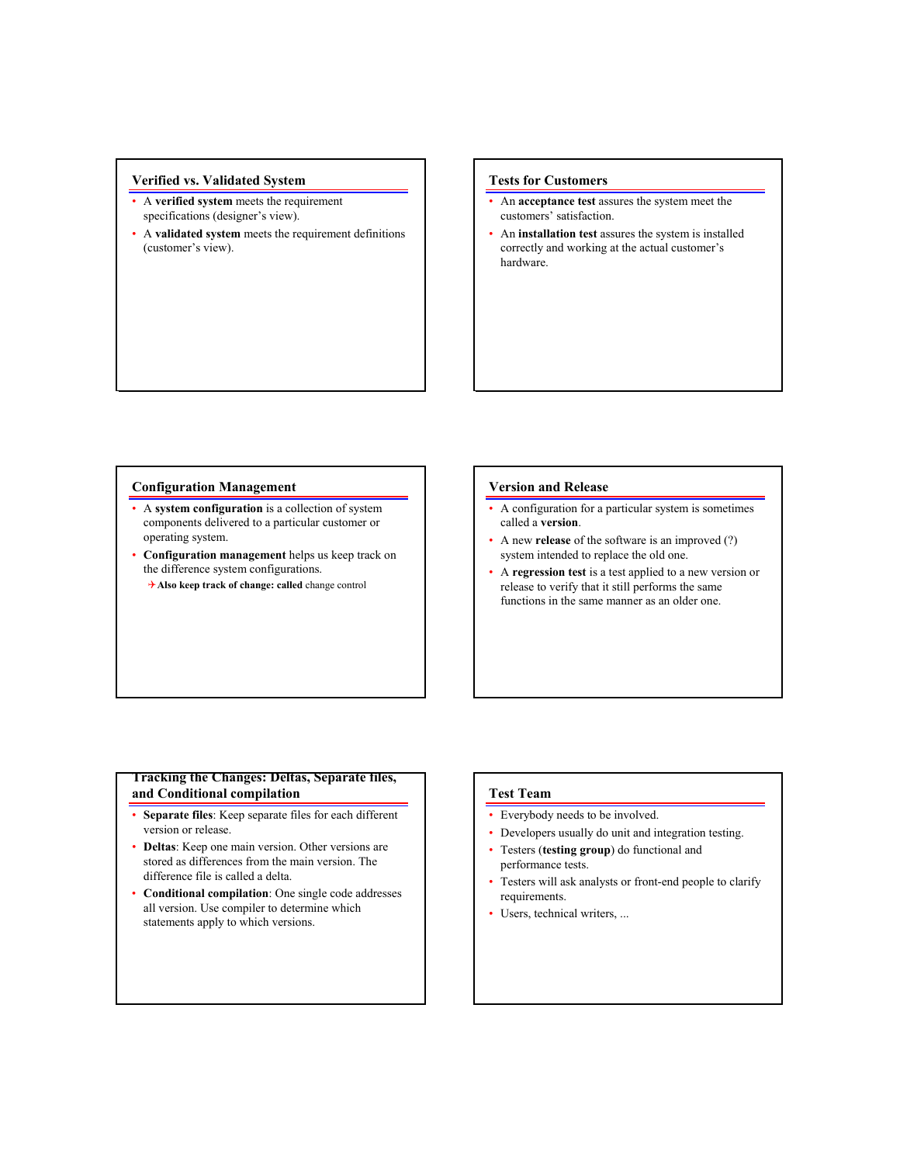## **Verified vs. Validated System**

- A **verified system** meets the requirement specifications (designer's view).
- A **validated system** meets the requirement definitions (customer's view).

## **Tests for Customers**

- An **acceptance test** assures the system meet the customers' satisfaction.
- An **installation test** assures the system is installed correctly and working at the actual customer's hardware.

#### **Configuration Management**

- A **system configuration** is a collection of system components delivered to a particular customer or operating system.
- **Configuration management** helps us keep track on the difference system configurations.
	- 4**Also keep track of change: called** change control

#### **Version and Release**

- A configuration for a particular system is sometimes called a **version**.
- A new **release** of the software is an improved (?) system intended to replace the old one.
- A **regression test** is a test applied to a new version or release to verify that it still performs the same functions in the same manner as an older one.

## **Tracking the Changes: Deltas, Separate files, and Conditional compilation**

- **Separate files**: Keep separate files for each different version or release.
- **Deltas**: Keep one main version. Other versions are stored as differences from the main version. The difference file is called a delta.
- **Conditional compilation**: One single code addresses all version. Use compiler to determine which statements apply to which versions.

### **Test Team**

- Everybody needs to be involved.
- Developers usually do unit and integration testing.
- Testers (**testing group**) do functional and performance tests.
- Testers will ask analysts or front-end people to clarify requirements.
- Users, technical writers, ...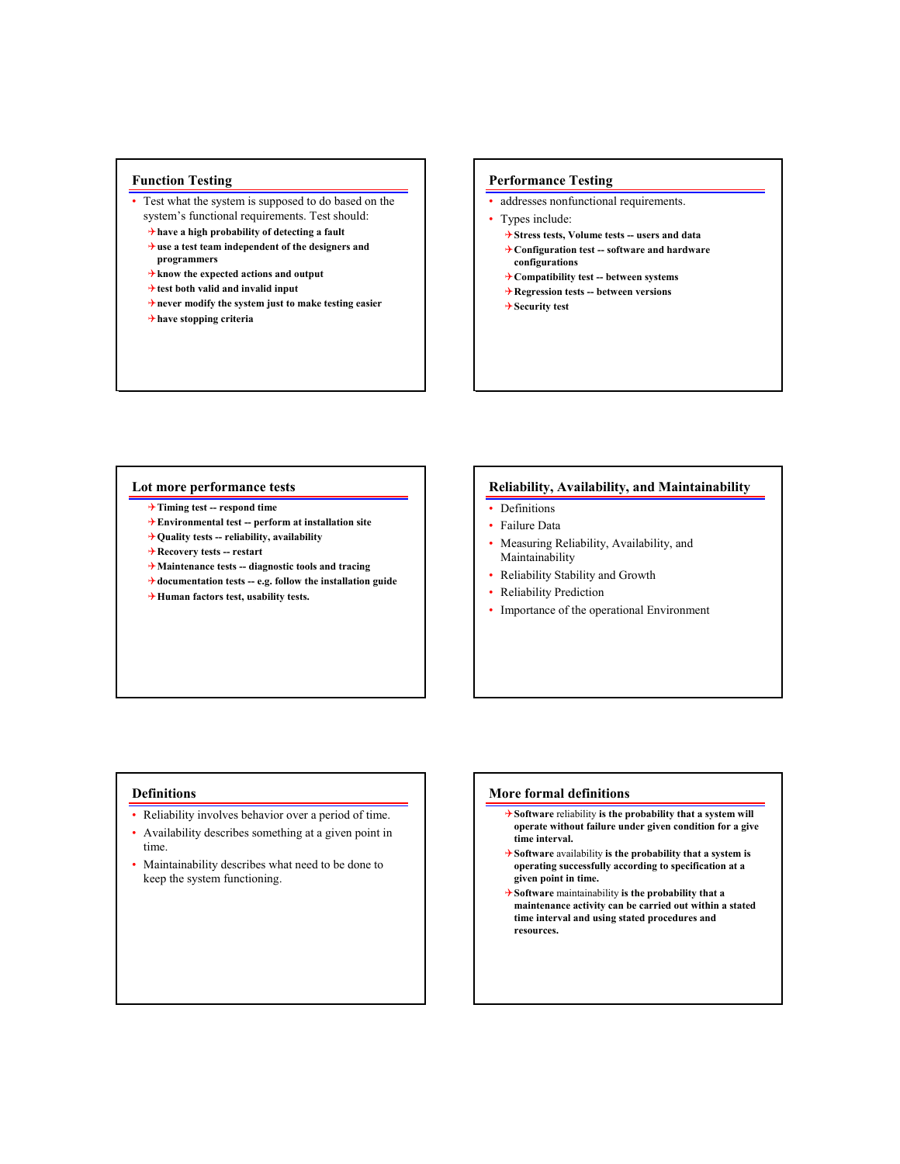## **Function Testing**

- Test what the system is supposed to do based on the system's functional requirements. Test should:
	- 4**have a high probability of detecting a fault**
	- 4**use a test team independent of the designers and programmers**
	- 4**know the expected actions and output**
	- 4**test both valid and invalid input**
	- 4**never modify the system just to make testing easier**
	- 4**have stopping criteria**

## **Performance Testing**

- addresses nonfunctional requirements.
- Types include:
	- 4**Stress tests, Volume tests -- users and data**
	- 4**Configuration test -- software and hardware configurations**
	- 4**Compatibility test -- between systems**
	- 4**Regression tests -- between versions**
	- 4**Security test**

#### **Lot more performance tests**

- 4**Timing test -- respond time**
- 4**Environmental test -- perform at installation site**
- 4**Quality tests -- reliability, availability**
- 4**Recovery tests -- restart**
- 4**Maintenance tests -- diagnostic tools and tracing**
- 4**documentation tests -- e.g. follow the installation guide**
- 4**Human factors test, usability tests.**

#### **Reliability, Availability, and Maintainability**

- Definitions
- Failure Data
- Measuring Reliability, Availability, and Maintainability
- Reliability Stability and Growth
- Reliability Prediction
- Importance of the operational Environment

### **Definitions**

- Reliability involves behavior over a period of time.
- Availability describes something at a given point in time.
- Maintainability describes what need to be done to keep the system functioning.

#### **More formal definitions**

- 4**Software** reliability **is the probability that a system will operate without failure under given condition for a give time interval.**
- 4**Software** availability **is the probability that a system is operating successfully according to specification at a given point in time.**
- 4**Software** maintainability **is the probability that a maintenance activity can be carried out within a stated time interval and using stated procedures and resources.**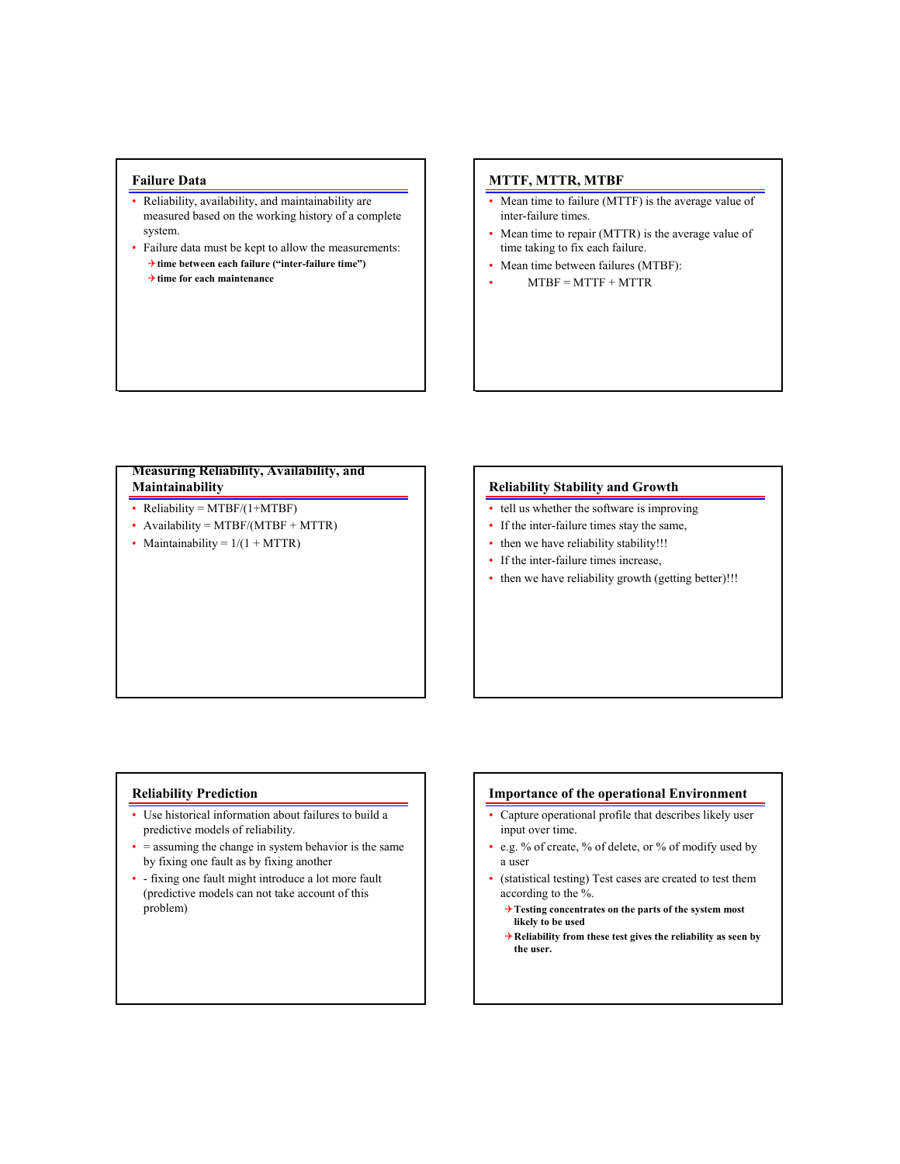## **Failure Data**

- Reliability, availability, and maintainability are measured based on the working history of a complete system.
- Failure data must be kept to allow the measurements: 4**time between each failure ("inter-failure time")**
	- 4**time for each maintenance**

## **MTTF, MTTR, MTBF**

- Mean time to failure (MTTF) is the average value of inter-failure times.
- Mean time to repair (MTTR) is the average value of time taking to fix each failure.
- Mean time between failures (MTBF):
- $MTBF = MTTF + MTTR$

## **Measuring Reliability, Availability, and Maintainability**

- Reliability =  $MTBF/(1+MTBF)$
- Availability =  $MTBF/(MTBF + MTTR)$
- Maintainability =  $1/(1 + MTTR)$

#### **Reliability Stability and Growth**

- tell us whether the software is improving
- If the inter-failure times stay the same,
- then we have reliability stability!!!
- If the inter-failure times increase,
- then we have reliability growth (getting better)!!!

#### **Reliability Prediction**

- Use historical information about failures to build a predictive models of reliability.
- $\bullet$  = assuming the change in system behavior is the same by fixing one fault as by fixing another
- - fixing one fault might introduce a lot more fault (predictive models can not take account of this problem)

### **Importance of the operational Environment**

- Capture operational profile that describes likely user input over time.
- e.g. % of create, % of delete, or % of modify used by a user
- (statistical testing) Test cases are created to test them according to the %.
	- 4**Testing concentrates on the parts of the system most likely to be used**
	- 4**Reliability from these test gives the reliability as seen by the user.**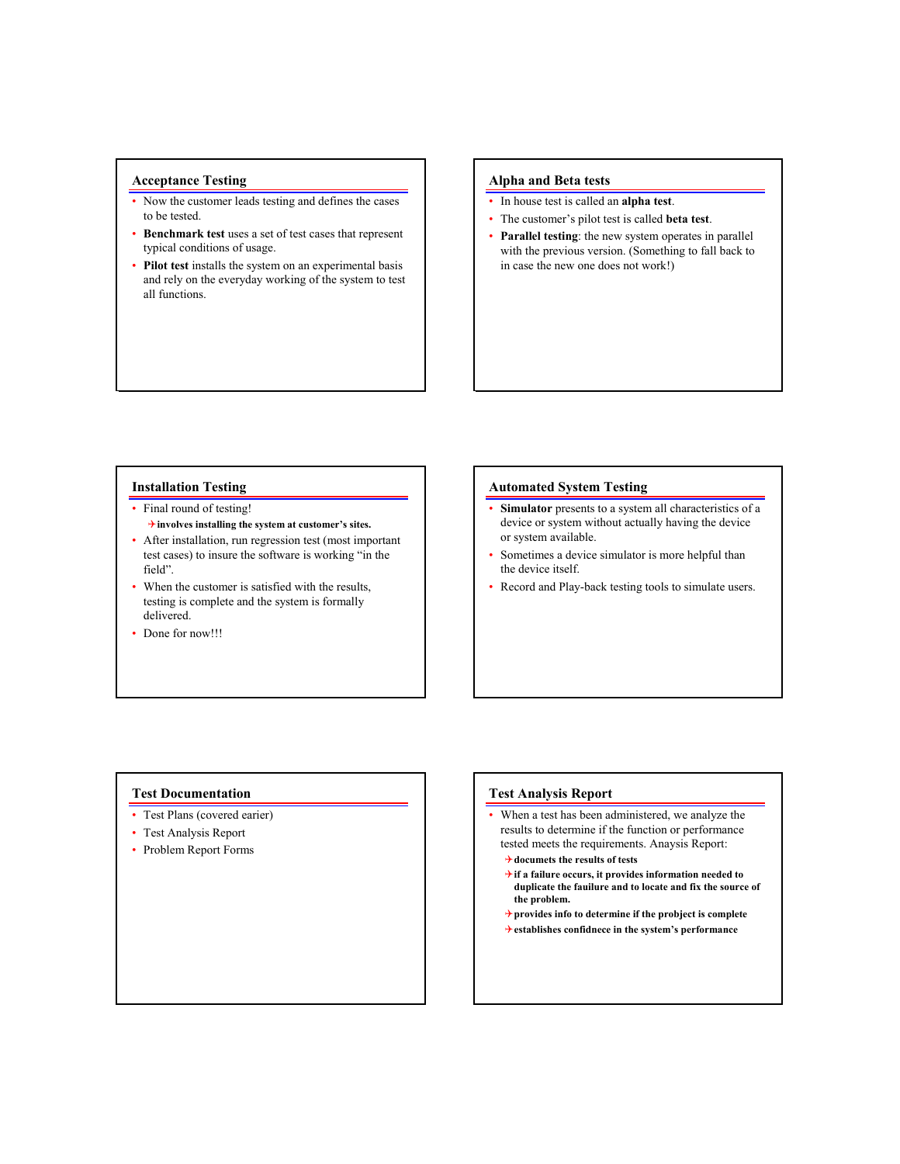## **Acceptance Testing**

- Now the customer leads testing and defines the cases to be tested.
- **Benchmark test** uses a set of test cases that represent typical conditions of usage.
- Pilot test installs the system on an experimental basis and rely on the everyday working of the system to test all functions.

## **Alpha and Beta tests**

- In house test is called an **alpha test**.
- The customer's pilot test is called **beta test**.
- **Parallel testing**: the new system operates in parallel with the previous version. (Something to fall back to in case the new one does not work!)

#### **Installation Testing**

- Final round of testing! 4**involves installing the system at customer's sites.**
- After installation, run regression test (most important test cases) to insure the software is working "in the field".
- When the customer is satisfied with the results, testing is complete and the system is formally delivered.
- Done for now!!!

#### **Automated System Testing**

- **Simulator** presents to a system all characteristics of a device or system without actually having the device or system available.
- Sometimes a device simulator is more helpful than the device itself.
- Record and Play-back testing tools to simulate users.

## **Test Documentation**

- Test Plans (covered earier)
- Test Analysis Report
- Problem Report Forms

### **Test Analysis Report**

- When a test has been administered, we analyze the results to determine if the function or performance tested meets the requirements. Anaysis Report:
	- 4**documets the results of tests**
	- 4**if a failure occurs, it provides information needed to duplicate the fauilure and to locate and fix the source of the problem.**
	- 4**provides info to determine if the probject is complete**
	- 4**establishes confidnece in the system's performance**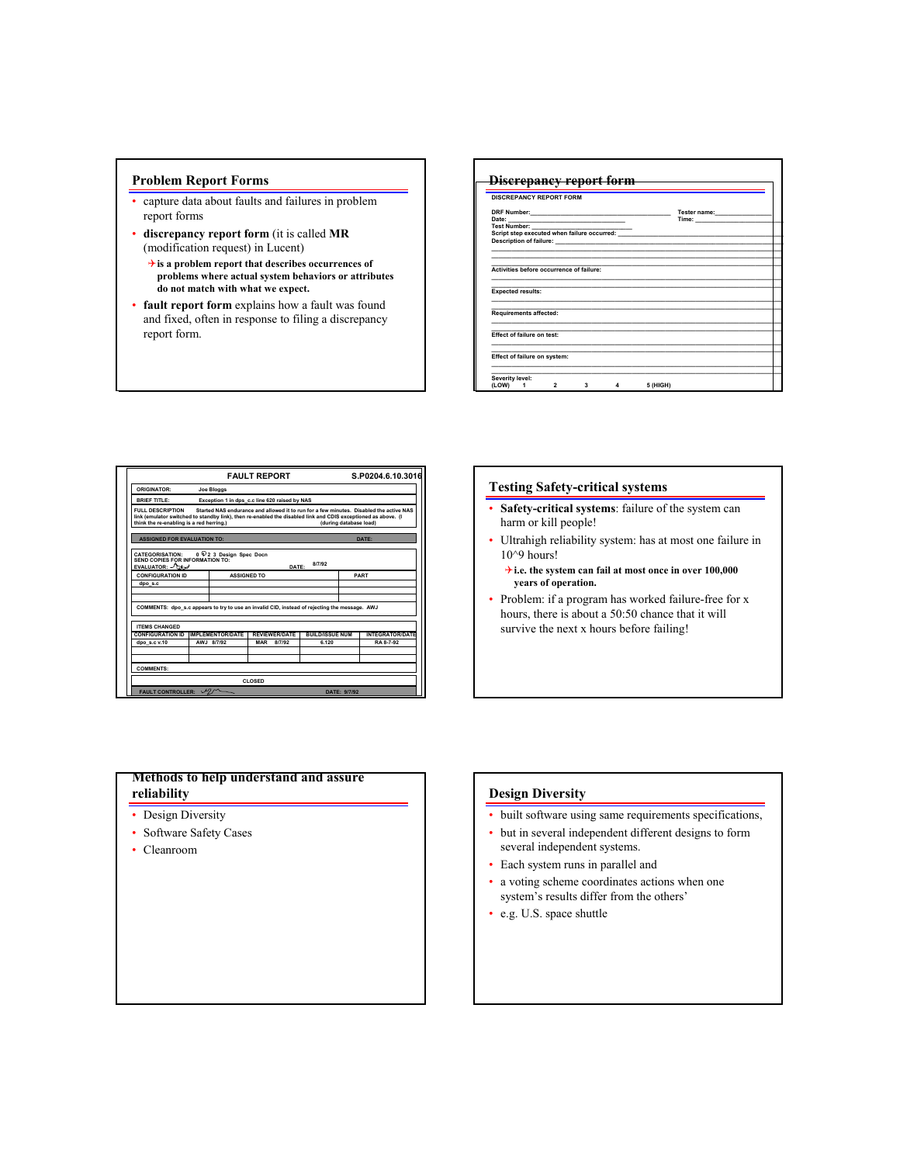## **Problem Report Forms**

- capture data about faults and failures in problem report forms
- **discrepancy report form** (it is called **MR** (modification request) in Lucent)
	- 4**is a problem report that describes occurrences of problems where actual system behaviors or attributes do not match with what we expect.**
- **fault report form** explains how a fault was found and fixed, often in response to filing a discrepancy report form.

#### **DISCREPANCY REPORT FORM DRF Number:\_\_\_\_\_\_\_\_\_\_\_\_\_\_\_\_\_\_\_\_\_\_\_\_\_\_\_\_\_\_\_\_\_\_\_\_\_\_\_\_\_\_ Tester name:\_\_\_\_\_\_\_\_\_\_\_\_\_\_\_\_\_ Date: \_\_\_\_\_\_\_\_\_\_\_\_\_\_\_\_\_\_\_\_\_\_\_\_\_\_\_\_\_\_\_\_\_\_\_ Time: \_\_\_\_\_\_\_\_\_\_\_\_\_\_\_\_\_\_\_\_\_\_\_\_\_\_\_ Test Number: \_\_\_\_\_\_\_\_\_\_\_\_\_\_\_\_\_\_\_\_\_\_\_\_\_\_\_\_\_\_ Script step executed when failure occurred: \_\_\_\_\_\_\_\_\_\_\_\_\_\_\_\_\_\_\_\_\_\_\_\_\_\_\_\_\_\_\_\_\_\_\_\_\_\_\_\_\_\_\_\_\_\_\_\_\_\_** Description of failure: **\_\_\_\_\_\_\_\_\_\_\_\_\_\_\_\_\_\_\_\_\_\_\_\_\_\_\_\_\_\_\_\_\_\_\_\_\_\_\_\_\_\_\_\_\_\_\_\_\_\_\_\_\_\_\_\_\_\_\_\_\_\_\_\_\_\_\_\_\_\_\_\_\_\_\_\_\_\_\_\_\_\_\_\_\_\_\_ \_\_\_\_\_\_\_\_\_\_\_\_\_\_\_\_\_\_\_\_\_\_\_\_\_\_\_\_\_\_\_\_\_\_\_\_\_\_\_\_\_\_\_\_\_\_\_\_\_\_\_\_\_\_\_\_\_\_\_\_\_\_\_\_\_\_\_\_\_\_\_\_\_\_\_\_\_\_\_\_\_\_\_\_\_\_\_ \_\_\_\_\_\_\_\_\_\_\_\_\_\_\_\_\_\_\_\_\_\_\_\_\_\_\_\_\_\_\_\_\_\_\_\_\_\_\_\_\_\_\_\_\_\_\_\_\_\_\_\_\_\_\_\_\_\_\_\_\_\_\_\_\_\_\_\_\_\_\_\_\_\_\_\_\_\_\_\_\_\_\_\_\_\_\_ Activities before occurrence of failure: \_\_\_\_\_\_\_\_\_\_\_\_\_\_\_\_\_\_\_\_\_\_\_\_\_\_\_\_\_\_\_\_\_\_\_\_\_\_\_\_\_\_\_\_\_\_\_\_\_\_\_\_\_\_\_\_\_\_\_\_\_\_\_\_\_\_\_\_\_\_\_\_\_\_\_\_\_\_\_\_\_\_\_\_\_\_\_ \_\_\_\_\_\_\_\_\_\_\_\_\_\_\_\_\_\_\_\_\_\_\_\_\_\_\_\_\_\_\_\_\_\_\_\_\_\_\_\_\_\_\_\_\_\_\_\_\_\_\_\_\_\_\_\_\_\_\_\_\_\_\_\_\_\_\_\_\_\_\_\_\_\_\_\_\_\_\_\_\_\_\_\_\_\_\_ Expected results: \_\_\_\_\_\_\_\_\_\_\_\_\_\_\_\_\_\_\_\_\_\_\_\_\_\_\_\_\_\_\_\_\_\_\_\_\_\_\_\_\_\_\_\_\_\_\_\_\_\_\_\_\_\_\_\_\_\_\_\_\_\_\_\_\_\_\_\_\_\_\_\_\_\_\_\_\_\_\_\_\_\_\_\_\_\_\_ \_\_\_\_\_\_\_\_\_\_\_\_\_\_\_\_\_\_\_\_\_\_\_\_\_\_\_\_\_\_\_\_\_\_\_\_\_\_\_\_\_\_\_\_\_\_\_\_\_\_\_\_\_\_\_\_\_\_\_\_\_\_\_\_\_\_\_\_\_\_\_\_\_\_\_\_\_\_\_\_\_\_\_\_\_\_\_ Requirements affected: \_\_\_\_\_\_\_\_\_\_\_\_\_\_\_\_\_\_\_\_\_\_\_\_\_\_\_\_\_\_\_\_\_\_\_\_\_\_\_\_\_\_\_\_\_\_\_\_\_\_\_\_\_\_\_\_\_\_\_\_\_\_\_\_\_\_\_\_\_\_\_\_\_\_\_\_\_\_\_\_\_\_\_\_\_\_\_ \_\_\_\_\_\_\_\_\_\_\_\_\_\_\_\_\_\_\_\_\_\_\_\_\_\_\_\_\_\_\_\_\_\_\_\_\_\_\_\_\_\_\_\_\_\_\_\_\_\_\_\_\_\_\_\_\_\_\_\_\_\_\_\_\_\_\_\_\_\_\_\_\_\_\_\_\_\_\_\_\_\_\_\_\_\_\_ Effect of failure on test: \_\_\_\_\_\_\_\_\_\_\_\_\_\_\_\_\_\_\_\_\_\_\_\_\_\_\_\_\_\_\_\_\_\_\_\_\_\_\_\_\_\_\_\_\_\_\_\_\_\_\_\_\_\_\_\_\_\_\_\_\_\_\_\_\_\_\_\_\_\_\_\_\_\_\_\_\_\_\_\_\_\_\_\_\_\_\_ \_\_\_\_\_\_\_\_\_\_\_\_\_\_\_\_\_\_\_\_\_\_\_\_\_\_\_\_\_\_\_\_\_\_\_\_\_\_\_\_\_\_\_\_\_\_\_\_\_\_\_\_\_\_\_\_\_\_\_\_\_\_\_\_\_\_\_\_\_\_\_\_\_\_\_\_\_\_\_\_\_\_\_\_\_\_\_ Effect of failure on system: \_\_\_\_\_\_\_\_\_\_\_\_\_\_\_\_\_\_\_\_\_\_\_\_\_\_\_\_\_\_\_\_\_\_\_\_\_\_\_\_\_\_\_\_\_\_\_\_\_\_\_\_\_\_\_\_\_\_\_\_\_\_\_\_\_\_\_\_\_\_\_\_\_\_\_\_\_\_\_\_\_\_\_\_\_\_\_ \_\_\_\_\_\_\_\_\_\_\_\_\_\_\_\_\_\_\_\_\_\_\_\_\_\_\_\_\_\_\_\_\_\_\_\_\_\_\_\_\_\_\_\_\_\_\_\_\_\_\_\_\_\_\_\_\_\_\_\_\_\_\_\_\_\_\_\_\_\_\_\_\_\_\_\_\_\_\_\_\_\_\_\_\_\_\_** Severity level:<br>(LOW) 1 **(LOW) 1 2 3 4 5 (HIGH) Discrepancy report form**

|                                                                                                                                                                                      |                  | <b>FAULT REPORT</b>                                                                           |                                                |        |             | S.P0204.6.10.3016      |                                                                                        |  |
|--------------------------------------------------------------------------------------------------------------------------------------------------------------------------------------|------------------|-----------------------------------------------------------------------------------------------|------------------------------------------------|--------|-------------|------------------------|----------------------------------------------------------------------------------------|--|
| ORIGINATOR:                                                                                                                                                                          | Joe Bloggs       |                                                                                               |                                                |        |             |                        |                                                                                        |  |
| <b>BRIEF TITLE:</b><br>Exception 1 in dps c.c line 620 raised by NAS                                                                                                                 |                  |                                                                                               |                                                |        |             |                        |                                                                                        |  |
| <b>FULL DESCRIPTION</b><br>link (emulator switched to standby link), then re-enabled the disabled link and CDIS exceptioned as above. (I<br>think the re-enabling is a red herring.) |                  |                                                                                               |                                                |        |             | (during database load) | Started NAS endurance and allowed it to run for a few minutes. Disabled the active NAS |  |
| <b>ASSIGNED FOR EVALUATION TO:</b>                                                                                                                                                   |                  |                                                                                               |                                                |        | DATE:       |                        |                                                                                        |  |
| CATEGORISATION:<br>SEND COPIES FOR INFORMATION TO:<br>EVALUATOR: $\mathcal{A}_{\text{Cov}}$                                                                                          |                  | $0$ $\mathcal{P}$ 2 3 Design Spec Docn                                                        |                                                | DATE:  | 8/7/92      |                        |                                                                                        |  |
| <b>CONFIGURATION ID</b>                                                                                                                                                              |                  | <b>ASSIGNED TO</b>                                                                            |                                                |        | <b>PART</b> |                        |                                                                                        |  |
| dpo s.c                                                                                                                                                                              |                  |                                                                                               |                                                |        |             |                        |                                                                                        |  |
|                                                                                                                                                                                      |                  | COMMENTS: dpo s.c appears to try to use an invalid CID, instead of relecting the message, AWJ |                                                |        |             |                        |                                                                                        |  |
|                                                                                                                                                                                      |                  |                                                                                               |                                                |        |             |                        |                                                                                        |  |
| <b>ITEMS CHANGED</b>                                                                                                                                                                 |                  |                                                                                               |                                                |        |             |                        |                                                                                        |  |
| <b>CONFIGURATION ID</b>                                                                                                                                                              | IMPLEMENTOR/DATE |                                                                                               | <b>REVIEWER/DATE</b><br><b>BUILD/ISSUE NUM</b> |        |             | <b>INTEGRATOR/DATE</b> |                                                                                        |  |
| dpo s.c v.10                                                                                                                                                                         |                  | AW.I 8/7/92                                                                                   | <b>MAR</b>                                     | 8/7/92 | 6.120       |                        | RA 8-7-92                                                                              |  |
|                                                                                                                                                                                      |                  |                                                                                               |                                                |        |             |                        |                                                                                        |  |
| <b>COMMENTS:</b>                                                                                                                                                                     |                  |                                                                                               |                                                |        |             |                        |                                                                                        |  |
|                                                                                                                                                                                      |                  |                                                                                               | <b>CLOSED</b>                                  |        |             |                        |                                                                                        |  |
| FAULT CONTROLLER: 42                                                                                                                                                                 |                  |                                                                                               | DATE: 9/7/92                                   |        |             |                        |                                                                                        |  |

#### **Testing Safety-critical systems**

- **Safety-critical systems**: failure of the system can harm or kill people!
- Ultrahigh reliability system: has at most one failure in  $10^{9}$  hours!
	- 4**i.e. the system can fail at most once in over 100,000 years of operation.**
- Problem: if a program has worked failure-free for x hours, there is about a 50:50 chance that it will survive the next x hours before failing!

## **Methods to help understand and assure reliability**

- Design Diversity
- Software Safety Cases
- Cleanroom

## **Design Diversity**

- built software using same requirements specifications,
- but in several independent different designs to form several independent systems.
- Each system runs in parallel and
- a voting scheme coordinates actions when one system's results differ from the others'
- e.g. U.S. space shuttle